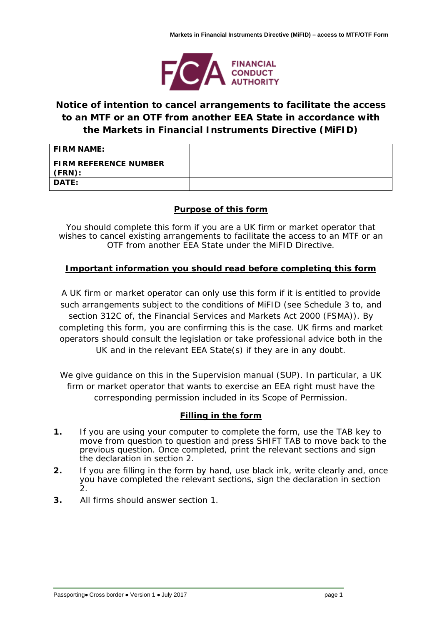

# **Notice of intention to cancel arrangements to facilitate the access to an MTF or an OTF from another EEA State in accordance with the Markets in Financial Instruments Directive (MiFID)**

| <b>FIRM NAME:</b>                      |  |
|----------------------------------------|--|
| <b>FIRM REFERENCE NUMBER</b><br>(FRN): |  |
| <b>DATE:</b>                           |  |

## **Purpose of this form**

You should complete this form if you are a UK firm or market operator that wishes to cancel existing arrangements to facilitate the access to an MTF or an OTF from another EEA State under the MiFID Directive.

# **Important information you should read before completing this form**

A UK firm or market operator can only use this form if it is entitled to provide such arrangements subject to the conditions of MiFID (see Schedule 3 to, and section 312C of, the Financial Services and Markets Act 2000 (FSMA)). By completing this form, you are confirming this is the case. UK firms and market operators should consult the legislation or take professional advice both in the UK and in the relevant EEA State(s) if they are in any doubt.

We give guidance on this in the Supervision manual (SUP). In particular, a UK firm or market operator that wants to exercise an EEA right must have the corresponding permission included in its Scope of Permission.

## **Filling in the form**

- **1.** If you are using your computer to complete the form, use the TAB key to move from question to question and press SHIFT TAB to move back to the previous question. Once completed, print the relevant sections and sign the declaration in section 2.
- **2.** If you are filling in the form by hand, use black ink, write clearly and, once you have completed the relevant sections, sign the declaration in section 2.
- **3.** All firms should answer section 1.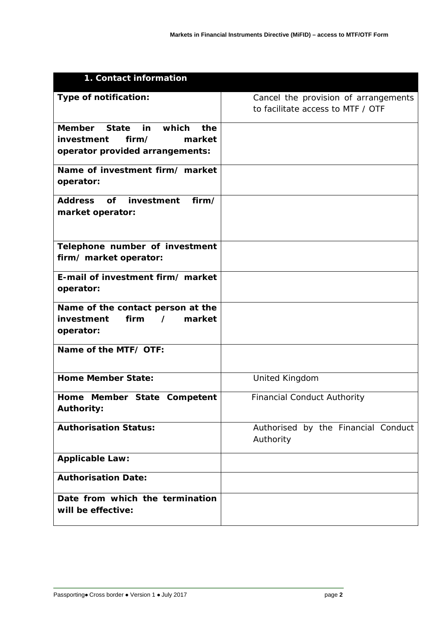| 1. Contact information                                                 |                                                                           |
|------------------------------------------------------------------------|---------------------------------------------------------------------------|
| Type of notification:                                                  | Cancel the provision of arrangements<br>to facilitate access to MTF / OTF |
|                                                                        |                                                                           |
| <b>Member</b><br><b>State</b><br>which<br>in<br>the                    |                                                                           |
| investment<br>firm/<br>market                                          |                                                                           |
| operator provided arrangements:                                        |                                                                           |
| Name of investment firm/ market<br>operator:                           |                                                                           |
|                                                                        |                                                                           |
| <b>Address</b><br><b>of</b><br>investment<br>firm/<br>market operator: |                                                                           |
|                                                                        |                                                                           |
|                                                                        |                                                                           |
| Telephone number of investment                                         |                                                                           |
| firm/ market operator:                                                 |                                                                           |
| E-mail of investment firm/ market                                      |                                                                           |
| operator:                                                              |                                                                           |
| Name of the contact person at the                                      |                                                                           |
| firm<br>market<br>investment<br>$\prime$                               |                                                                           |
| operator:                                                              |                                                                           |
| Name of the MTF/ OTF:                                                  |                                                                           |
|                                                                        |                                                                           |
| <b>Home Member State:</b>                                              | United Kingdom                                                            |
| Home Member State Competent                                            | <b>Financial Conduct Authority</b>                                        |
| <b>Authority:</b>                                                      |                                                                           |
| <b>Authorisation Status:</b>                                           | Authorised by the Financial Conduct                                       |
|                                                                        | Authority                                                                 |
| <b>Applicable Law:</b>                                                 |                                                                           |
| <b>Authorisation Date:</b>                                             |                                                                           |
| Date from which the termination                                        |                                                                           |
| will be effective:                                                     |                                                                           |
|                                                                        |                                                                           |